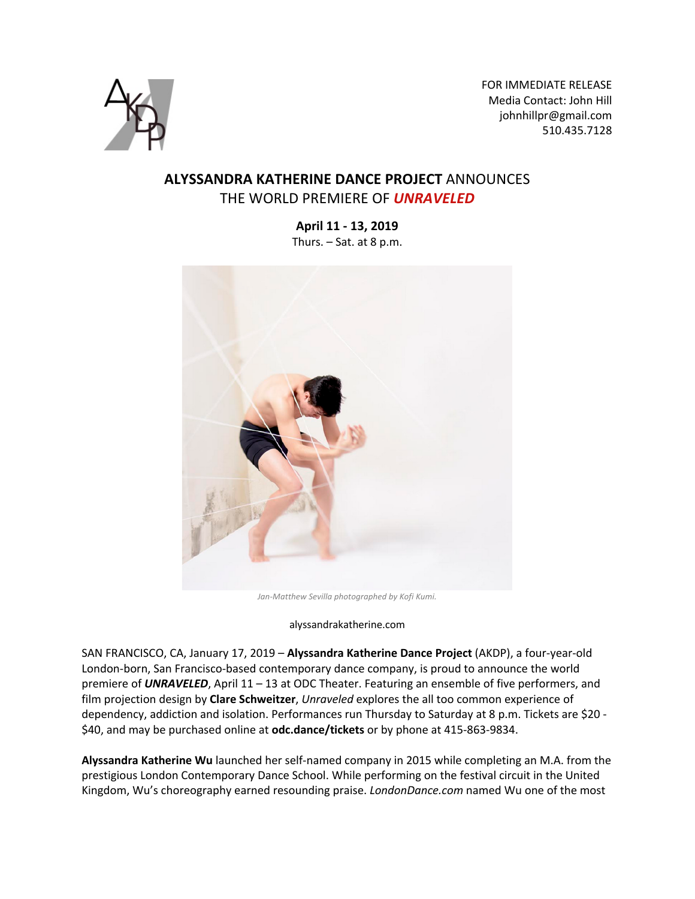

FOR IMMEDIATE RELEASE Media Contact: John Hill johnhillpr@gmail.com 510.435.7128

## **ALYSSANDRA KATHERINE DANCE PROJECT** ANNOUNCES THE WORLD PREMIERE OF *UNRAVELED*

**April 11 - 13, 2019** Thurs.  $-$  Sat. at 8 p.m.



*Jan-Matthew Sevilla photographed by Kofi Kumi.*

alyssandrakatherine.com

SAN FRANCISCO, CA, January 17, 2019 – **Alyssandra Katherine Dance Project** (AKDP), a four-year-old London-born, San Francisco-based contemporary dance company, is proud to announce the world premiere of *UNRAVELED*, April 11 – 13 at ODC Theater. Featuring an ensemble of five performers, and film projection design by **Clare Schweitzer**, *Unraveled* explores the all too common experience of dependency, addiction and isolation. Performances run Thursday to Saturday at 8 p.m. Tickets are \$20 - \$40, and may be purchased online at **odc.dance/tickets** or by phone at 415-863-9834.

**Alyssandra Katherine Wu** launched her self-named company in 2015 while completing an M.A. from the prestigious London Contemporary Dance School. While performing on the festival circuit in the United Kingdom, Wu's choreography earned resounding praise. *LondonDance.com* named Wu one of the most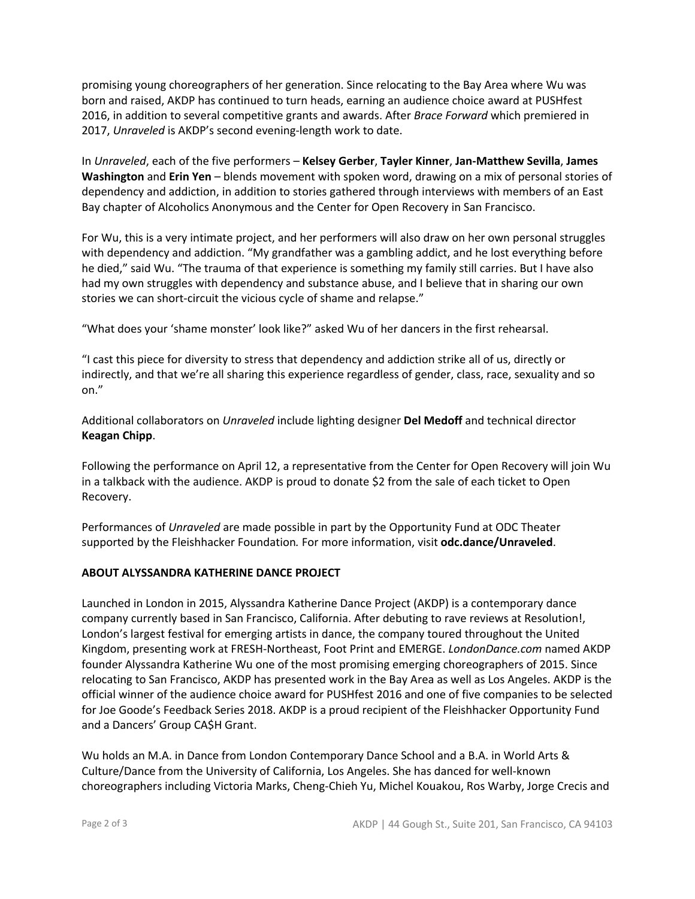promising young choreographers of her generation. Since relocating to the Bay Area where Wu was born and raised, AKDP has continued to turn heads, earning an audience choice award at PUSHfest 2016, in addition to several competitive grants and awards. After *Brace Forward* which premiered in 2017, *Unraveled* is AKDP's second evening-length work to date.

In *Unraveled*, each of the five performers – **Kelsey Gerber**, **Tayler Kinner**, **Jan-Matthew Sevilla**, **James Washington** and **Erin Yen** – blends movement with spoken word, drawing on a mix of personal stories of dependency and addiction, in addition to stories gathered through interviews with members of an East Bay chapter of Alcoholics Anonymous and the Center for Open Recovery in San Francisco.

For Wu, this is a very intimate project, and her performers will also draw on her own personal struggles with dependency and addiction. "My grandfather was a gambling addict, and he lost everything before he died," said Wu. "The trauma of that experience is something my family still carries. But I have also had my own struggles with dependency and substance abuse, and I believe that in sharing our own stories we can short-circuit the vicious cycle of shame and relapse."

"What does your 'shame monster' look like?" asked Wu of her dancers in the first rehearsal.

"I cast this piece for diversity to stress that dependency and addiction strike all of us, directly or indirectly, and that we're all sharing this experience regardless of gender, class, race, sexuality and so on."

Additional collaborators on *Unraveled* include lighting designer **Del Medoff** and technical director **Keagan Chipp**.

Following the performance on April 12, a representative from the Center for Open Recovery will join Wu in a talkback with the audience. AKDP is proud to donate \$2 from the sale of each ticket to Open Recovery.

Performances of *Unraveled* are made possible in part by the Opportunity Fund at ODC Theater supported by the Fleishhacker Foundation*.* For more information, visit **odc.dance/Unraveled**.

#### **ABOUT ALYSSANDRA KATHERINE DANCE PROJECT**

Launched in London in 2015, Alyssandra Katherine Dance Project (AKDP) is a contemporary dance company currently based in San Francisco, California. After debuting to rave reviews at Resolution!, London's largest festival for emerging artists in dance, the company toured throughout the United Kingdom, presenting work at FRESH-Northeast, Foot Print and EMERGE. *LondonDance.com* named AKDP founder Alyssandra Katherine Wu one of the most promising emerging choreographers of 2015. Since relocating to San Francisco, AKDP has presented work in the Bay Area as well as Los Angeles. AKDP is the official winner of the audience choice award for PUSHfest 2016 and one of five companies to be selected for Joe Goode's Feedback Series 2018. AKDP is a proud recipient of the Fleishhacker Opportunity Fund and a Dancers' Group CA\$H Grant.

Wu holds an M.A. in Dance from London Contemporary Dance School and a B.A. in World Arts & Culture/Dance from the University of California, Los Angeles. She has danced for well-known choreographers including Victoria Marks, Cheng-Chieh Yu, Michel Kouakou, Ros Warby, Jorge Crecis and